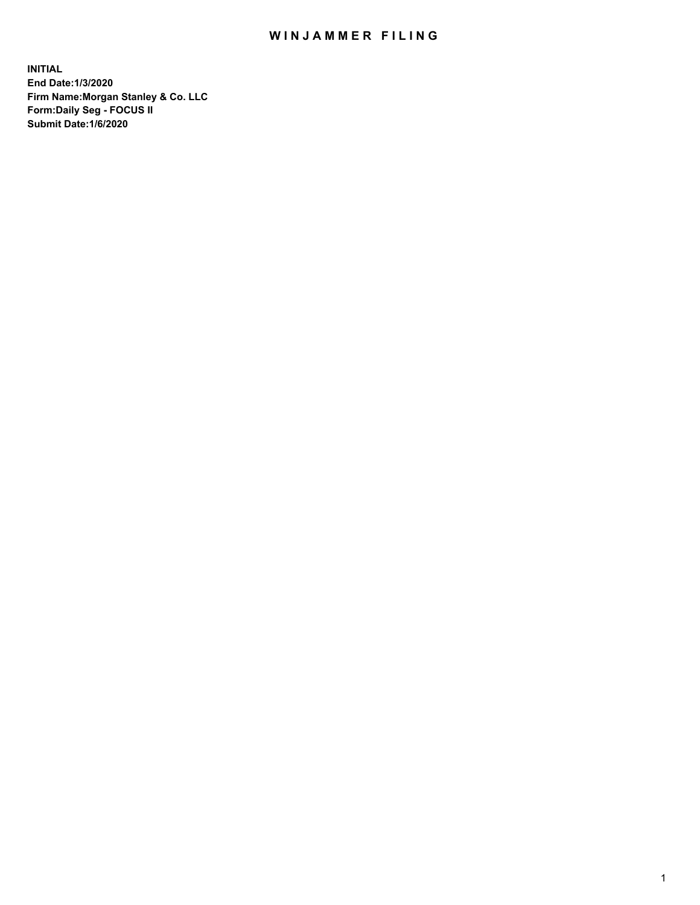## WIN JAMMER FILING

**INITIAL End Date:1/3/2020 Firm Name:Morgan Stanley & Co. LLC Form:Daily Seg - FOCUS II Submit Date:1/6/2020**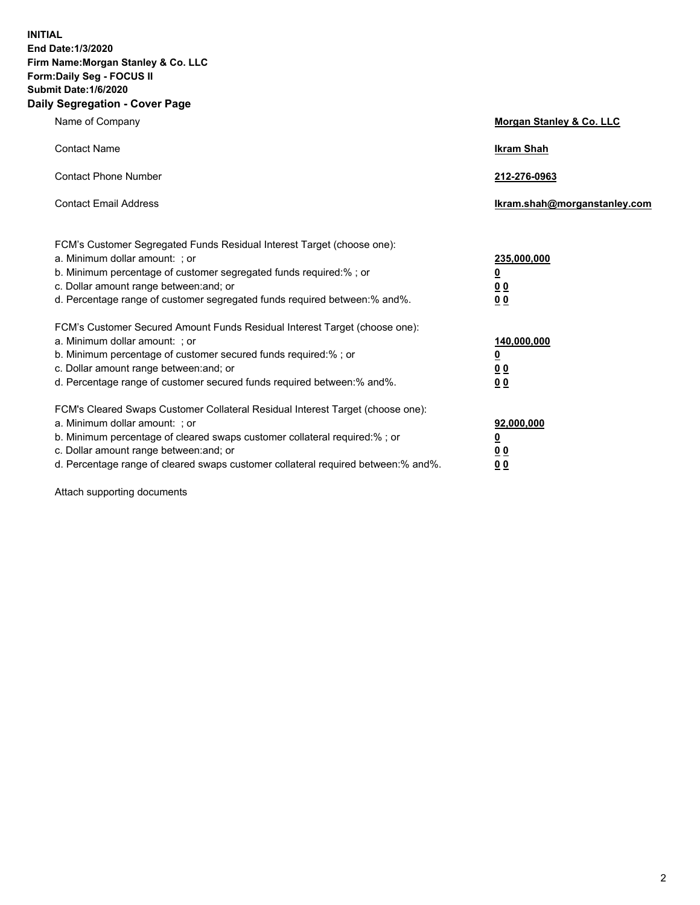**INITIAL End Date:1/3/2020 Firm Name:Morgan Stanley & Co. LLC Form:Daily Seg - FOCUS II Submit Date:1/6/2020 Daily Segregation - Cover Page**

| Name of Company                                                                   | Morgan Stanley & Co. LLC     |
|-----------------------------------------------------------------------------------|------------------------------|
| <b>Contact Name</b>                                                               | <b>Ikram Shah</b>            |
| <b>Contact Phone Number</b>                                                       | 212-276-0963                 |
| <b>Contact Email Address</b>                                                      | Ikram.shah@morganstanley.com |
| FCM's Customer Segregated Funds Residual Interest Target (choose one):            |                              |
| a. Minimum dollar amount: ; or                                                    | 235,000,000                  |
| b. Minimum percentage of customer segregated funds required:%; or                 | <u>0</u>                     |
| c. Dollar amount range between: and; or                                           | <u>00</u>                    |
| d. Percentage range of customer segregated funds required between:% and%.         | <u>00</u>                    |
| FCM's Customer Secured Amount Funds Residual Interest Target (choose one):        |                              |
| a. Minimum dollar amount: ; or                                                    | 140,000,000                  |
| b. Minimum percentage of customer secured funds required:%; or                    | <u>0</u>                     |
| c. Dollar amount range between: and; or                                           | <u>00</u>                    |
| d. Percentage range of customer secured funds required between: % and %.          | 0 <sub>0</sub>               |
| FCM's Cleared Swaps Customer Collateral Residual Interest Target (choose one):    |                              |
| a. Minimum dollar amount: ; or                                                    | 92,000,000                   |
| b. Minimum percentage of cleared swaps customer collateral required:% ; or        | <u>0</u>                     |
| c. Dollar amount range between: and; or                                           | 00                           |
| d. Percentage range of cleared swaps customer collateral required between:% and%. | 00                           |

Attach supporting documents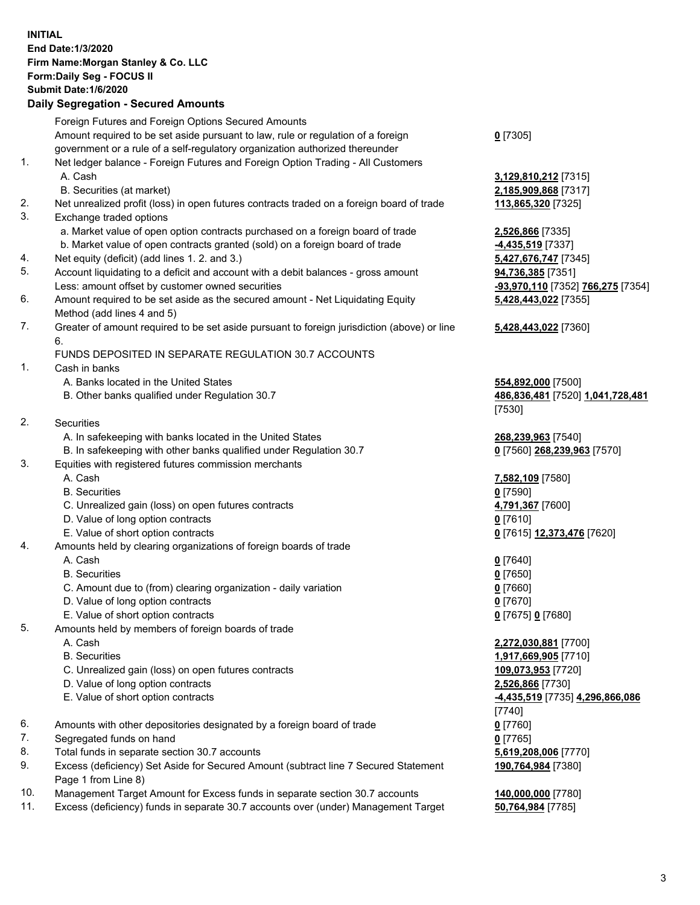## **INITIAL End Date:1/3/2020 Firm Name:Morgan Stanley & Co. LLC Form:Daily Seg - FOCUS II Submit Date:1/6/2020 Daily Segregation - Secured Amounts** Foreign Futures and Foreign Options Secured Amounts Amount required to be set aside pursuant to law, rule or regulation of a foreign government or a rule of a self-regulatory organization authorized thereunder **0** [7305] 1. Net ledger balance - Foreign Futures and Foreign Option Trading - All Customers A. Cash **3,129,810,212** [7315] B. Securities (at market) **2,185,909,868** [7317] 2. Net unrealized profit (loss) in open futures contracts traded on a foreign board of trade **113,865,320** [7325] 3. Exchange traded options a. Market value of open option contracts purchased on a foreign board of trade **2,526,866** [7335] b. Market value of open contracts granted (sold) on a foreign board of trade **-4,435,519** [7337] 4. Net equity (deficit) (add lines 1. 2. and 3.) **5,427,676,747** [7345] 5. Account liquidating to a deficit and account with a debit balances - gross amount **94,736,385** [7351] Less: amount offset by customer owned securities **-93,970,110** [7352] **766,275** [7354] 6. Amount required to be set aside as the secured amount - Net Liquidating Equity Method (add lines 4 and 5) **5,428,443,022** [7355] 7. Greater of amount required to be set aside pursuant to foreign jurisdiction (above) or line 6. **5,428,443,022** [7360] FUNDS DEPOSITED IN SEPARATE REGULATION 30.7 ACCOUNTS 1. Cash in banks A. Banks located in the United States **554,892,000** [7500] B. Other banks qualified under Regulation 30.7 **486,836,481** [7520] **1,041,728,481** [7530] 2. Securities A. In safekeeping with banks located in the United States **268,239,963** [7540]<br>B. In safekeeping with other banks qualified under Regulation 30.7 **1996** [7560] **268,239,963** [7570] B. In safekeeping with other banks qualified under Regulation 30.7 3. Equities with registered futures commission merchants A. Cash **7,582,109** [7580] B. Securities **0** [7590] C. Unrealized gain (loss) on open futures contracts **4,791,367** [7600] D. Value of long option contracts **0** [7610] E. Value of short option contracts **0** [7615] **12,373,476** [7620] 4. Amounts held by clearing organizations of foreign boards of trade A. Cash **0** [7640] B. Securities **0** [7650] C. Amount due to (from) clearing organization - daily variation **0** [7660] D. Value of long option contracts **0** [7670] E. Value of short option contracts **0** [7675] **0** [7680] 5. Amounts held by members of foreign boards of trade A. Cash **2,272,030,881** [7700] B. Securities **1,917,669,905** [7710] C. Unrealized gain (loss) on open futures contracts **109,073,953** [7720] D. Value of long option contracts **2,526,866** [7730] E. Value of short option contracts **-4,435,519** [7735] **4,296,866,086** [7740] 6. Amounts with other depositories designated by a foreign board of trade **0** [7760] 7. Segregated funds on hand **0** [7765] 8. Total funds in separate section 30.7 accounts **5,619,208,006** [7770] 9. Excess (deficiency) Set Aside for Secured Amount (subtract line 7 Secured Statement Page 1 from Line 8) **190,764,984** [7380] 10. Management Target Amount for Excess funds in separate section 30.7 accounts **140,000,000** [7780]

11. Excess (deficiency) funds in separate 30.7 accounts over (under) Management Target **50,764,984** [7785]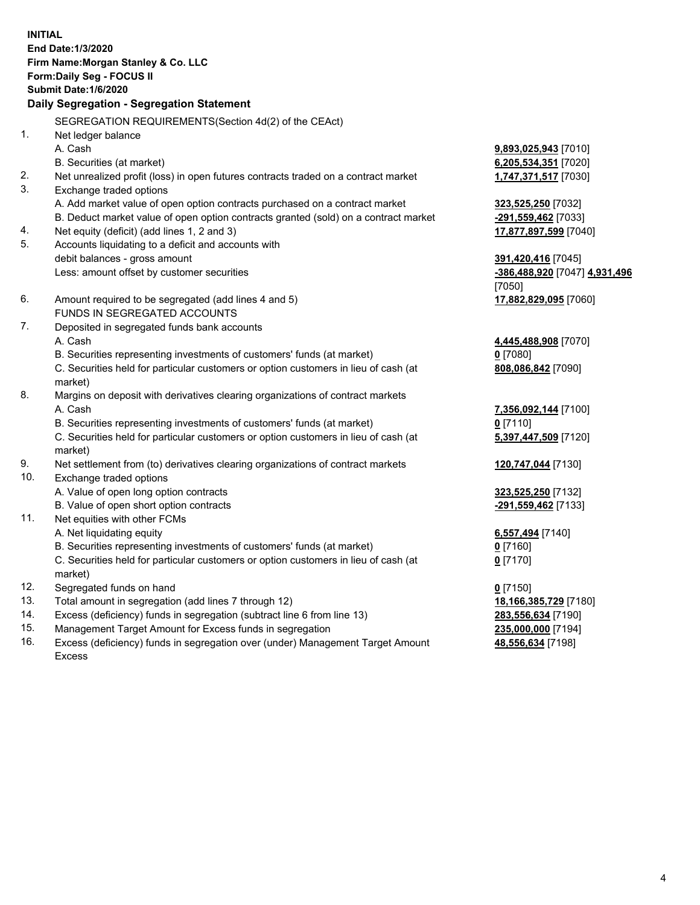**INITIAL End Date:1/3/2020 Firm Name:Morgan Stanley & Co. LLC Form:Daily Seg - FOCUS II Submit Date:1/6/2020 Daily Segregation - Segregation Statement** SEGREGATION REQUIREMENTS(Section 4d(2) of the CEAct) 1. Net ledger balance A. Cash **9,893,025,943** [7010] B. Securities (at market) **6,205,534,351** [7020] 2. Net unrealized profit (loss) in open futures contracts traded on a contract market **1,747,371,517** [7030] 3. Exchange traded options A. Add market value of open option contracts purchased on a contract market **323,525,250** [7032] B. Deduct market value of open option contracts granted (sold) on a contract market **-291,559,462** [7033] 4. Net equity (deficit) (add lines 1, 2 and 3) **17,877,897,599** [7040] 5. Accounts liquidating to a deficit and accounts with debit balances - gross amount **391,420,416** [7045] Less: amount offset by customer securities **-386,488,920** [7047] **4,931,496** [7050] 6. Amount required to be segregated (add lines 4 and 5) **17,882,829,095** [7060] FUNDS IN SEGREGATED ACCOUNTS 7. Deposited in segregated funds bank accounts A. Cash **4,445,488,908** [7070] B. Securities representing investments of customers' funds (at market) **0** [7080] C. Securities held for particular customers or option customers in lieu of cash (at market) **808,086,842** [7090] 8. Margins on deposit with derivatives clearing organizations of contract markets A. Cash **7,356,092,144** [7100] B. Securities representing investments of customers' funds (at market) **0** [7110] C. Securities held for particular customers or option customers in lieu of cash (at market) **5,397,447,509** [7120] 9. Net settlement from (to) derivatives clearing organizations of contract markets **120,747,044** [7130] 10. Exchange traded options A. Value of open long option contracts **323,525,250** [7132] B. Value of open short option contracts **-291,559,462** [7133] 11. Net equities with other FCMs A. Net liquidating equity **6,557,494** [7140] B. Securities representing investments of customers' funds (at market) **0** [7160] C. Securities held for particular customers or option customers in lieu of cash (at market) **0** [7170] 12. Segregated funds on hand **0** [7150] 13. Total amount in segregation (add lines 7 through 12) **18,166,385,729** [7180] 14. Excess (deficiency) funds in segregation (subtract line 6 from line 13) **283,556,634** [7190] 15. Management Target Amount for Excess funds in segregation **235,000,000** [7194]

- 
- 16. Excess (deficiency) funds in segregation over (under) Management Target Amount Excess

**48,556,634** [7198]